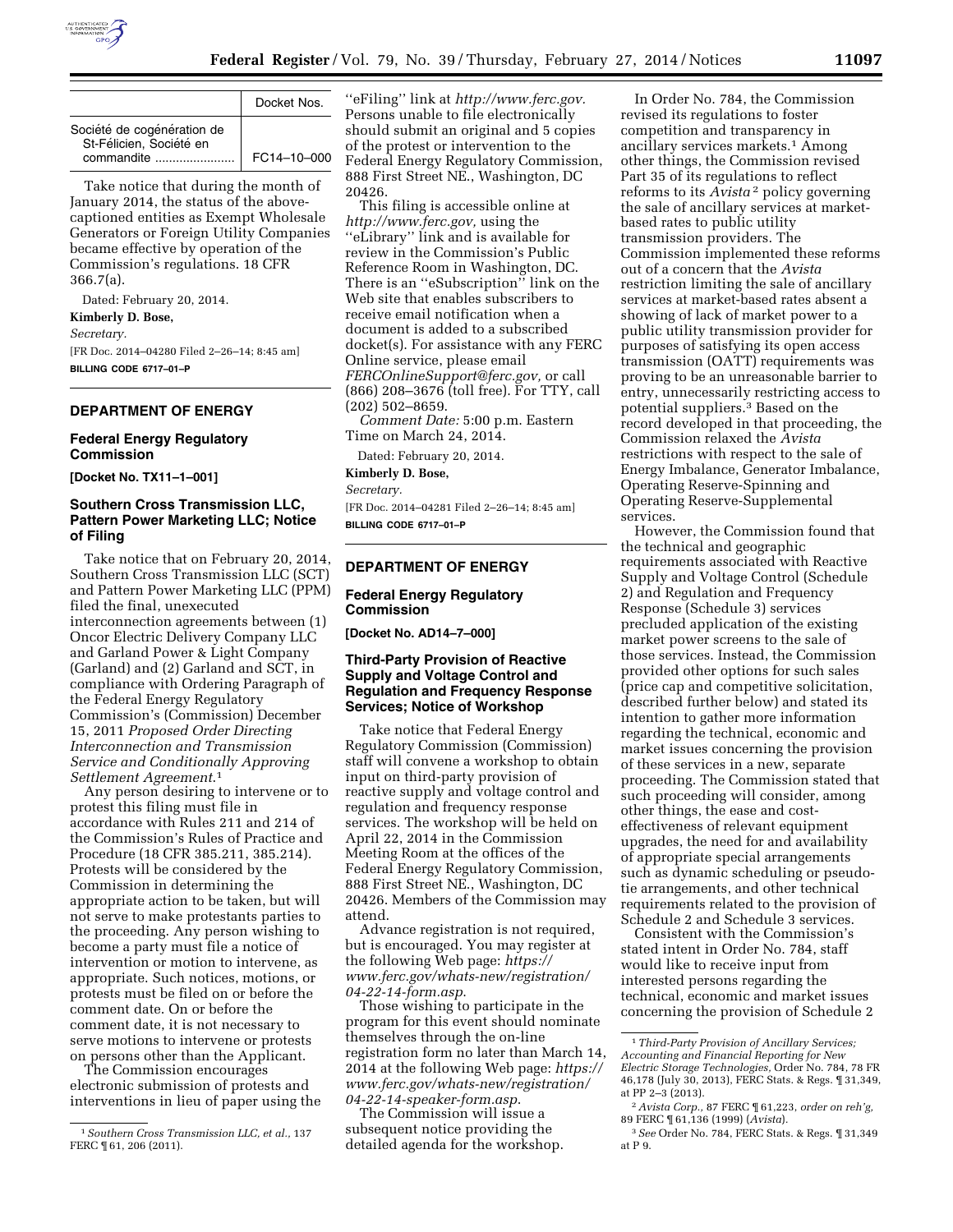

|                                                                     | Docket Nos.       |
|---------------------------------------------------------------------|-------------------|
| Société de cogénération de<br>St-Félicien, Société en<br>commandite | $FC14 - 10 - 000$ |

Take notice that during the month of January 2014, the status of the abovecaptioned entities as Exempt Wholesale Generators or Foreign Utility Companies became effective by operation of the Commission's regulations. 18 CFR 366.7(a).

Dated: February 20, 2014.

**Kimberly D. Bose,** 

*Secretary.* 

[FR Doc. 2014–04280 Filed 2–26–14; 8:45 am] **BILLING CODE 6717–01–P** 

# **DEPARTMENT OF ENERGY**

## **Federal Energy Regulatory Commission**

**[Docket No. TX11–1–001]** 

# **Southern Cross Transmission LLC, Pattern Power Marketing LLC; Notice of Filing**

Take notice that on February 20, 2014, Southern Cross Transmission LLC (SCT) and Pattern Power Marketing LLC (PPM) filed the final, unexecuted interconnection agreements between (1) Oncor Electric Delivery Company LLC and Garland Power & Light Company (Garland) and (2) Garland and SCT, in compliance with Ordering Paragraph of the Federal Energy Regulatory Commission's (Commission) December 15, 2011 *Proposed Order Directing Interconnection and Transmission Service and Conditionally Approving Settlement Agreement*.1

Any person desiring to intervene or to protest this filing must file in accordance with Rules 211 and 214 of the Commission's Rules of Practice and Procedure (18 CFR 385.211, 385.214). Protests will be considered by the Commission in determining the appropriate action to be taken, but will not serve to make protestants parties to the proceeding. Any person wishing to become a party must file a notice of intervention or motion to intervene, as appropriate. Such notices, motions, or protests must be filed on or before the comment date. On or before the comment date, it is not necessary to serve motions to intervene or protests on persons other than the Applicant.

The Commission encourages electronic submission of protests and interventions in lieu of paper using the ''eFiling'' link at *[http://www.ferc.gov.](http://www.ferc.gov)*  Persons unable to file electronically should submit an original and 5 copies of the protest or intervention to the Federal Energy Regulatory Commission, 888 First Street NE., Washington, DC 20426.

This filing is accessible online at *[http://www.ferc.gov,](http://www.ferc.gov)* using the ''eLibrary'' link and is available for review in the Commission's Public Reference Room in Washington, DC. There is an ''eSubscription'' link on the Web site that enables subscribers to receive email notification when a document is added to a subscribed docket(s). For assistance with any FERC Online service, please email *[FERCOnlineSupport@ferc.gov,](mailto:FERCOnlineSupport@ferc.gov)* or call (866) 208–3676 (toll free). For TTY, call (202) 502–8659.

*Comment Date:* 5:00 p.m. Eastern Time on March 24, 2014.

Dated: February 20, 2014.

## **Kimberly D. Bose,**

*Secretary.* 

[FR Doc. 2014–04281 Filed 2–26–14; 8:45 am] **BILLING CODE 6717–01–P** 

### **DEPARTMENT OF ENERGY**

## **Federal Energy Regulatory Commission**

**[Docket No. AD14–7–000]** 

# **Third-Party Provision of Reactive Supply and Voltage Control and Regulation and Frequency Response Services; Notice of Workshop**

Take notice that Federal Energy Regulatory Commission (Commission) staff will convene a workshop to obtain input on third-party provision of reactive supply and voltage control and regulation and frequency response services. The workshop will be held on April 22, 2014 in the Commission Meeting Room at the offices of the Federal Energy Regulatory Commission, 888 First Street NE., Washington, DC 20426. Members of the Commission may attend.

Advance registration is not required, but is encouraged. You may register at the following Web page: *[https://](https://www.ferc.gov/whats-new/registration/04-22-14-form.asp) [www.ferc.gov/whats-new/registration/](https://www.ferc.gov/whats-new/registration/04-22-14-form.asp) [04-22-14-form.asp](https://www.ferc.gov/whats-new/registration/04-22-14-form.asp)*.

Those wishing to participate in the program for this event should nominate themselves through the on-line registration form no later than March 14, 2014 at the following Web page: *[https://](https://www.ferc.gov/whats-new/registration/04-22-14-speaker-form.asp) [www.ferc.gov/whats-new/registration/](https://www.ferc.gov/whats-new/registration/04-22-14-speaker-form.asp) [04-22-14-speaker-form.asp](https://www.ferc.gov/whats-new/registration/04-22-14-speaker-form.asp)*.

The Commission will issue a subsequent notice providing the detailed agenda for the workshop.

In Order No. 784, the Commission revised its regulations to foster competition and transparency in ancillary services markets.1 Among other things, the Commission revised Part 35 of its regulations to reflect reforms to its *Avista* 2 policy governing the sale of ancillary services at marketbased rates to public utility transmission providers. The Commission implemented these reforms out of a concern that the *Avista*  restriction limiting the sale of ancillary services at market-based rates absent a showing of lack of market power to a public utility transmission provider for purposes of satisfying its open access transmission (OATT) requirements was proving to be an unreasonable barrier to entry, unnecessarily restricting access to potential suppliers.3 Based on the record developed in that proceeding, the Commission relaxed the *Avista*  restrictions with respect to the sale of Energy Imbalance, Generator Imbalance, Operating Reserve-Spinning and Operating Reserve-Supplemental services.

However, the Commission found that the technical and geographic requirements associated with Reactive Supply and Voltage Control (Schedule 2) and Regulation and Frequency Response (Schedule 3) services precluded application of the existing market power screens to the sale of those services. Instead, the Commission provided other options for such sales (price cap and competitive solicitation, described further below) and stated its intention to gather more information regarding the technical, economic and market issues concerning the provision of these services in a new, separate proceeding. The Commission stated that such proceeding will consider, among other things, the ease and costeffectiveness of relevant equipment upgrades, the need for and availability of appropriate special arrangements such as dynamic scheduling or pseudotie arrangements, and other technical requirements related to the provision of Schedule 2 and Schedule 3 services.

Consistent with the Commission's stated intent in Order No. 784, staff would like to receive input from interested persons regarding the technical, economic and market issues concerning the provision of Schedule 2

<sup>1</sup>*Southern Cross Transmission LLC, et al.,* 137 FERC ¶ 61, 206 (2011).

<sup>1</sup>*Third-Party Provision of Ancillary Services; Accounting and Financial Reporting for New Electric Storage Technologies,* Order No. 784, 78 FR 46,178 (July 30, 2013), FERC Stats. & Regs. ¶ 31,349, at PP 2–3 (2013).

<sup>2</sup>*Avista Corp.,* 87 FERC ¶ 61,223, *order on reh'g,*  89 FERC ¶ 61,136 (1999) (*Avista*)*.* 

<sup>3</sup>*See* Order No. 784, FERC Stats. & Regs. ¶ 31,349 at P 9.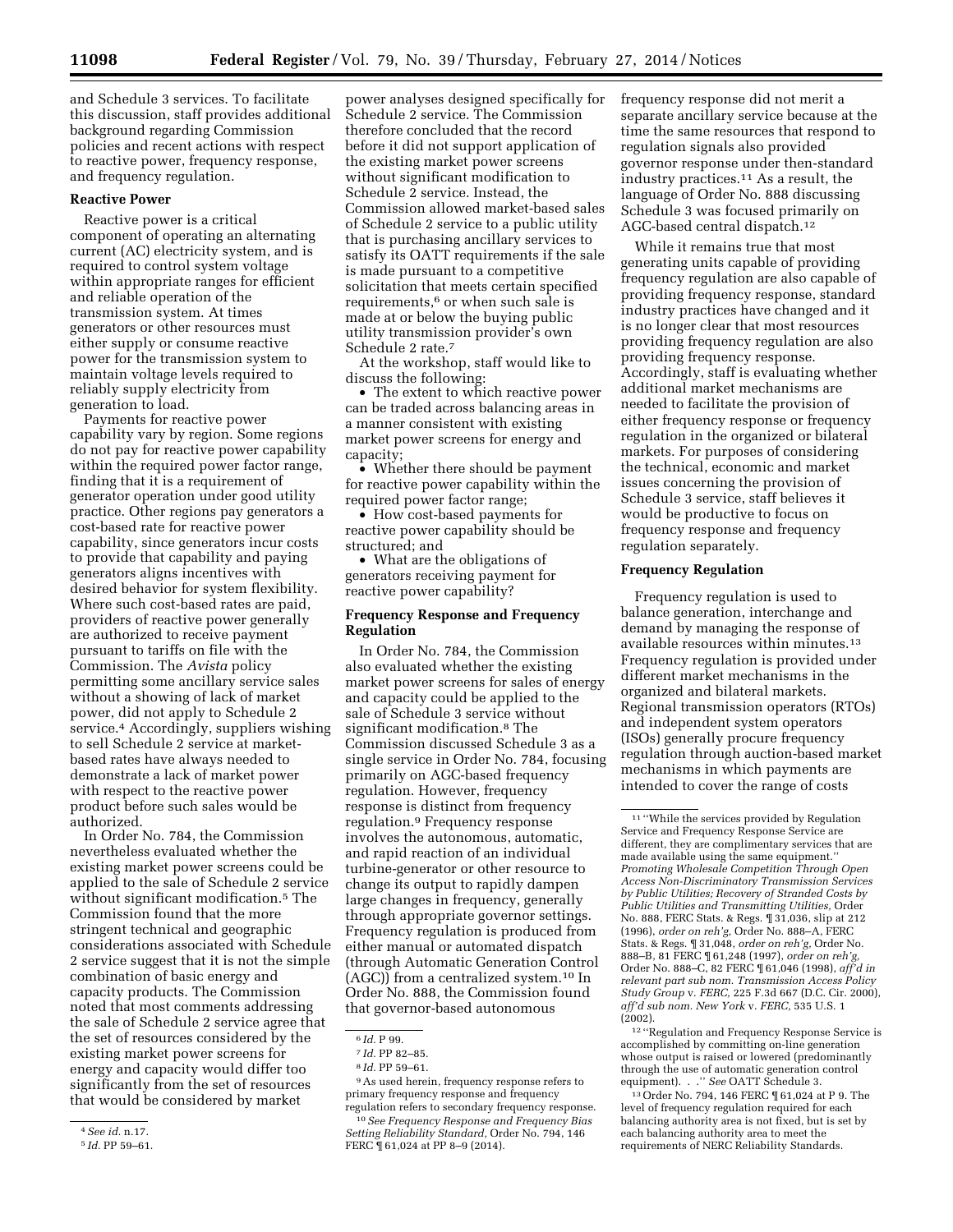and Schedule 3 services. To facilitate this discussion, staff provides additional background regarding Commission policies and recent actions with respect to reactive power, frequency response, and frequency regulation.

### **Reactive Power**

Reactive power is a critical component of operating an alternating current (AC) electricity system, and is required to control system voltage within appropriate ranges for efficient and reliable operation of the transmission system. At times generators or other resources must either supply or consume reactive power for the transmission system to maintain voltage levels required to reliably supply electricity from generation to load.

Payments for reactive power capability vary by region. Some regions do not pay for reactive power capability within the required power factor range, finding that it is a requirement of generator operation under good utility practice. Other regions pay generators a cost-based rate for reactive power capability, since generators incur costs to provide that capability and paying generators aligns incentives with desired behavior for system flexibility. Where such cost-based rates are paid, providers of reactive power generally are authorized to receive payment pursuant to tariffs on file with the Commission. The *Avista* policy permitting some ancillary service sales without a showing of lack of market power, did not apply to Schedule 2 service.<sup>4</sup> Accordingly, suppliers wishing to sell Schedule 2 service at marketbased rates have always needed to demonstrate a lack of market power with respect to the reactive power product before such sales would be authorized.

In Order No. 784, the Commission nevertheless evaluated whether the existing market power screens could be applied to the sale of Schedule 2 service without significant modification.5 The Commission found that the more stringent technical and geographic considerations associated with Schedule 2 service suggest that it is not the simple combination of basic energy and capacity products. The Commission noted that most comments addressing the sale of Schedule 2 service agree that the set of resources considered by the existing market power screens for energy and capacity would differ too significantly from the set of resources that would be considered by market

power analyses designed specifically for Schedule 2 service. The Commission therefore concluded that the record before it did not support application of the existing market power screens without significant modification to Schedule 2 service. Instead, the Commission allowed market-based sales of Schedule 2 service to a public utility that is purchasing ancillary services to satisfy its OATT requirements if the sale is made pursuant to a competitive solicitation that meets certain specified requirements,<sup>6</sup> or when such sale is made at or below the buying public utility transmission provider's own Schedule 2 rate.7

At the workshop, staff would like to discuss the following:

• The extent to which reactive power can be traded across balancing areas in a manner consistent with existing market power screens for energy and capacity;

• Whether there should be payment for reactive power capability within the required power factor range;

• How cost-based payments for reactive power capability should be structured; and

• What are the obligations of generators receiving payment for reactive power capability?

## **Frequency Response and Frequency Regulation**

In Order No. 784, the Commission also evaluated whether the existing market power screens for sales of energy and capacity could be applied to the sale of Schedule 3 service without significant modification.8 The Commission discussed Schedule 3 as a single service in Order No. 784, focusing primarily on AGC-based frequency regulation. However, frequency response is distinct from frequency regulation.9 Frequency response involves the autonomous, automatic, and rapid reaction of an individual turbine-generator or other resource to change its output to rapidly dampen large changes in frequency, generally through appropriate governor settings. Frequency regulation is produced from either manual or automated dispatch (through Automatic Generation Control (AGC)) from a centralized system.10 In Order No. 888, the Commission found that governor-based autonomous

frequency response did not merit a separate ancillary service because at the time the same resources that respond to regulation signals also provided governor response under then-standard industry practices.11 As a result, the language of Order No. 888 discussing Schedule 3 was focused primarily on AGC-based central dispatch.12

While it remains true that most generating units capable of providing frequency regulation are also capable of providing frequency response, standard industry practices have changed and it is no longer clear that most resources providing frequency regulation are also providing frequency response. Accordingly, staff is evaluating whether additional market mechanisms are needed to facilitate the provision of either frequency response or frequency regulation in the organized or bilateral markets. For purposes of considering the technical, economic and market issues concerning the provision of Schedule 3 service, staff believes it would be productive to focus on frequency response and frequency regulation separately.

# **Frequency Regulation**

Frequency regulation is used to balance generation, interchange and demand by managing the response of available resources within minutes.13 Frequency regulation is provided under different market mechanisms in the organized and bilateral markets. Regional transmission operators (RTOs) and independent system operators (ISOs) generally procure frequency regulation through auction-based market mechanisms in which payments are intended to cover the range of costs

13Order No. 794, 146 FERC ¶ 61,024 at P 9. The level of frequency regulation required for each balancing authority area is not fixed, but is set by each balancing authority area to meet the requirements of NERC Reliability Standards.

<sup>4</sup>*See id.* n.17.

<sup>5</sup> *Id.* PP 59–61.

<sup>6</sup> *Id.* P 99.

<sup>7</sup> *Id.* PP 82–85.

<sup>8</sup> *Id.* PP 59–61.

<sup>9</sup>As used herein, frequency response refers to primary frequency response and frequency regulation refers to secondary frequency response.

<sup>10</sup>*See Frequency Response and Frequency Bias Setting Reliability Standard,* Order No. 794, 146 FERC ¶ 61,024 at PP 8–9 (2014).

<sup>11</sup> ''While the services provided by Regulation Service and Frequency Response Service are different, they are complimentary services that are made available using the same equipment.'' *Promoting Wholesale Competition Through Open Access Non-Discriminatory Transmission Services by Public Utilities; Recovery of Stranded Costs by Public Utilities and Transmitting Utilities,* Order No. 888, FERC Stats. & Regs. ¶ 31,036, slip at 212 (1996), *order on reh'g,* Order No. 888–A, FERC Stats. & Regs. ¶ 31,048, *order on reh'g,* Order No. 888–B, 81 FERC ¶ 61,248 (1997), *order on reh'g,*  Order No. 888–C, 82 FERC ¶ 61,046 (1998), *aff'd in relevant part sub nom. Transmission Access Policy Study Group* v. *FERC,* 225 F.3d 667 (D.C. Cir. 2000), *aff'd sub nom. New York* v. *FERC,* 535 U.S. 1 (2002).

<sup>12</sup> ''Regulation and Frequency Response Service is accomplished by committing on-line generation whose output is raised or lowered (predominantly through the use of automatic generation control equipment). . .'' *See* OATT Schedule 3.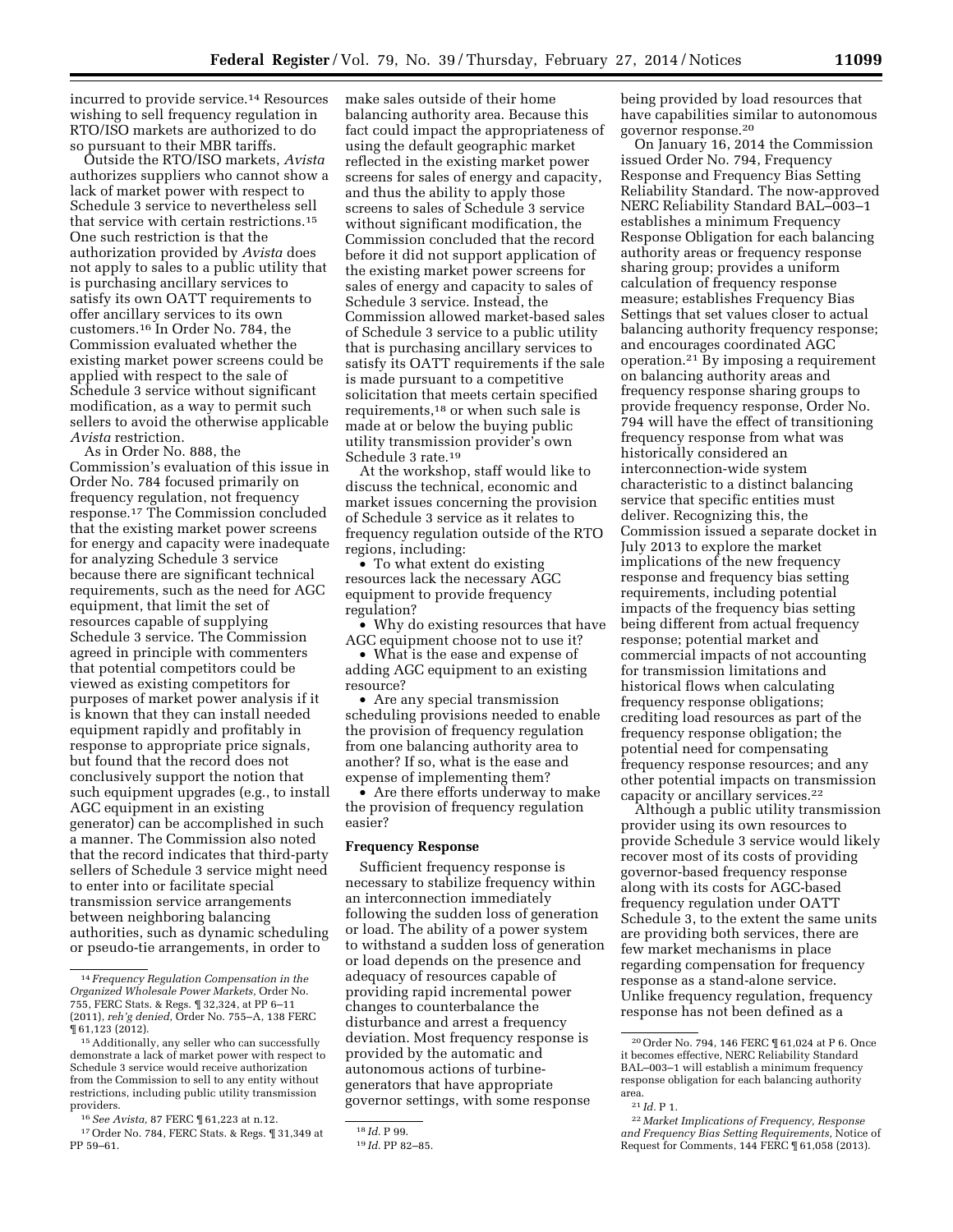incurred to provide service.14 Resources wishing to sell frequency regulation in RTO/ISO markets are authorized to do so pursuant to their MBR tariffs.

Outside the RTO/ISO markets, *Avista*  authorizes suppliers who cannot show a lack of market power with respect to Schedule 3 service to nevertheless sell that service with certain restrictions.15 One such restriction is that the authorization provided by *Avista* does not apply to sales to a public utility that is purchasing ancillary services to satisfy its own OATT requirements to offer ancillary services to its own customers.16 In Order No. 784, the Commission evaluated whether the existing market power screens could be applied with respect to the sale of Schedule 3 service without significant modification, as a way to permit such sellers to avoid the otherwise applicable *Avista* restriction.

As in Order No. 888, the Commission's evaluation of this issue in Order No. 784 focused primarily on frequency regulation, not frequency response.17 The Commission concluded that the existing market power screens for energy and capacity were inadequate for analyzing Schedule 3 service because there are significant technical requirements, such as the need for AGC equipment, that limit the set of resources capable of supplying Schedule 3 service. The Commission agreed in principle with commenters that potential competitors could be viewed as existing competitors for purposes of market power analysis if it is known that they can install needed equipment rapidly and profitably in response to appropriate price signals, but found that the record does not conclusively support the notion that such equipment upgrades (e.g., to install AGC equipment in an existing generator) can be accomplished in such a manner. The Commission also noted that the record indicates that third-party sellers of Schedule 3 service might need to enter into or facilitate special transmission service arrangements between neighboring balancing authorities, such as dynamic scheduling or pseudo-tie arrangements, in order to

PP 59–61.

make sales outside of their home balancing authority area. Because this fact could impact the appropriateness of using the default geographic market reflected in the existing market power screens for sales of energy and capacity, and thus the ability to apply those screens to sales of Schedule 3 service without significant modification, the Commission concluded that the record before it did not support application of the existing market power screens for sales of energy and capacity to sales of Schedule 3 service. Instead, the Commission allowed market-based sales of Schedule 3 service to a public utility that is purchasing ancillary services to satisfy its OATT requirements if the sale is made pursuant to a competitive solicitation that meets certain specified requirements,18 or when such sale is made at or below the buying public utility transmission provider's own Schedule 3 rate.19

At the workshop, staff would like to discuss the technical, economic and market issues concerning the provision of Schedule 3 service as it relates to frequency regulation outside of the RTO regions, including:

• To what extent do existing resources lack the necessary AGC equipment to provide frequency regulation?

• Why do existing resources that have AGC equipment choose not to use it?

• What is the ease and expense of adding AGC equipment to an existing resource?

• Are any special transmission scheduling provisions needed to enable the provision of frequency regulation from one balancing authority area to another? If so, what is the ease and expense of implementing them?

• Are there efforts underway to make the provision of frequency regulation easier?

#### **Frequency Response**

Sufficient frequency response is necessary to stabilize frequency within an interconnection immediately following the sudden loss of generation or load. The ability of a power system to withstand a sudden loss of generation or load depends on the presence and adequacy of resources capable of providing rapid incremental power changes to counterbalance the disturbance and arrest a frequency deviation. Most frequency response is provided by the automatic and autonomous actions of turbinegenerators that have appropriate governor settings, with some response

being provided by load resources that have capabilities similar to autonomous governor response.20

On January 16, 2014 the Commission issued Order No. 794, Frequency Response and Frequency Bias Setting Reliability Standard. The now-approved NERC Reliability Standard BAL–003–1 establishes a minimum Frequency Response Obligation for each balancing authority areas or frequency response sharing group; provides a uniform calculation of frequency response measure; establishes Frequency Bias Settings that set values closer to actual balancing authority frequency response; and encourages coordinated AGC operation.21 By imposing a requirement on balancing authority areas and frequency response sharing groups to provide frequency response, Order No. 794 will have the effect of transitioning frequency response from what was historically considered an interconnection-wide system characteristic to a distinct balancing service that specific entities must deliver. Recognizing this, the Commission issued a separate docket in July 2013 to explore the market implications of the new frequency response and frequency bias setting requirements, including potential impacts of the frequency bias setting being different from actual frequency response; potential market and commercial impacts of not accounting for transmission limitations and historical flows when calculating frequency response obligations; crediting load resources as part of the frequency response obligation; the potential need for compensating frequency response resources; and any other potential impacts on transmission capacity or ancillary services.22

Although a public utility transmission provider using its own resources to provide Schedule 3 service would likely recover most of its costs of providing governor-based frequency response along with its costs for AGC-based frequency regulation under OATT Schedule 3, to the extent the same units are providing both services, there are few market mechanisms in place regarding compensation for frequency response as a stand-alone service. Unlike frequency regulation, frequency response has not been defined as a

<sup>14</sup> *Frequency Regulation Compensation in the Organized Wholesale Power Markets,* Order No. 755, FERC Stats. & Regs. ¶ 32,324, at PP 6–11 (2011), *reh'g denied,* Order No. 755–A, 138 FERC ¶ 61,123 (2012).

<sup>15</sup>Additionally, any seller who can successfully demonstrate a lack of market power with respect to Schedule 3 service would receive authorization from the Commission to sell to any entity without restrictions, including public utility transmission providers.

<sup>16</sup>*See Avista,* 87 FERC ¶ 61,223 at n.12. 17Order No. 784, FERC Stats. & Regs. ¶ 31,349 at

<sup>18</sup> *Id.* P 99.

<sup>19</sup> *Id.* PP 82–85.

<sup>20</sup>Order No. 794, 146 FERC ¶ 61,024 at P 6. Once it becomes effective, NERC Reliability Standard BAL–003–1 will establish a minimum frequency response obligation for each balancing authority area.

<sup>21</sup> *Id.* P 1.

<sup>22</sup> *Market Implications of Frequency, Response and Frequency Bias Setting Requirements,* Notice of Request for Comments, 144 FERC ¶ 61,058 (2013).